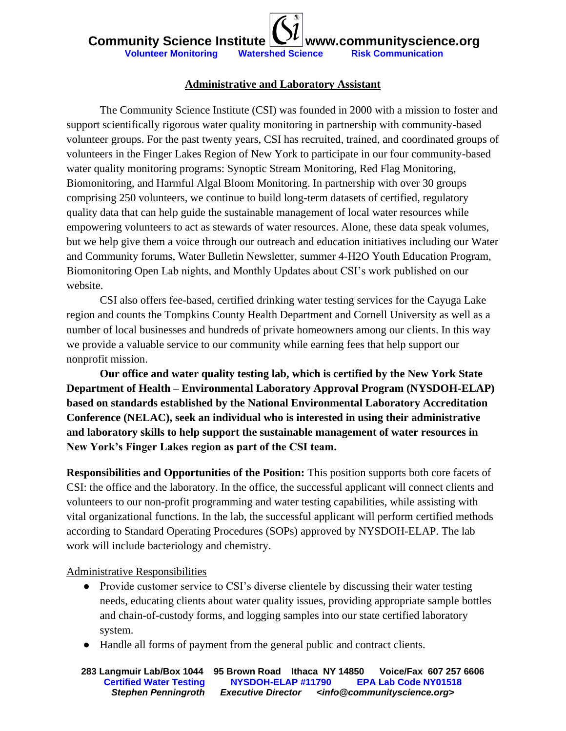### **Administrative and Laboratory Assistant**

The Community Science Institute (CSI) was founded in 2000 with a mission to foster and support scientifically rigorous water quality monitoring in partnership with community-based volunteer groups. For the past twenty years, CSI has recruited, trained, and coordinated groups of volunteers in the Finger Lakes Region of New York to participate in our four community-based water quality monitoring programs: Synoptic Stream Monitoring, Red Flag Monitoring, Biomonitoring, and Harmful Algal Bloom Monitoring. In partnership with over 30 groups comprising 250 volunteers, we continue to build long-term datasets of certified, regulatory quality data that can help guide the sustainable management of local water resources while empowering volunteers to act as stewards of water resources. Alone, these data speak volumes, but we help give them a voice through our outreach and education initiatives including our Water and Community forums, Water Bulletin Newsletter, summer 4-H2O Youth Education Program, Biomonitoring Open Lab nights, and Monthly Updates about CSI's work published on our website.

CSI also offers fee-based, certified drinking water testing services for the Cayuga Lake region and counts the Tompkins County Health Department and Cornell University as well as a number of local businesses and hundreds of private homeowners among our clients. In this way we provide a valuable service to our community while earning fees that help support our nonprofit mission.

**Our office and water quality testing lab, which is certified by the New York State Department of Health – Environmental Laboratory Approval Program (NYSDOH-ELAP) based on standards established by the National Environmental Laboratory Accreditation Conference (NELAC), seek an individual who is interested in using their administrative and laboratory skills to help support the sustainable management of water resources in New York's Finger Lakes region as part of the CSI team.**

**Responsibilities and Opportunities of the Position:** This position supports both core facets of CSI: the office and the laboratory. In the office, the successful applicant will connect clients and volunteers to our non-profit programming and water testing capabilities, while assisting with vital organizational functions. In the lab, the successful applicant will perform certified methods according to Standard Operating Procedures (SOPs) approved by NYSDOH-ELAP. The lab work will include bacteriology and chemistry.

Administrative Responsibilities

- Provide customer service to CSI's diverse clientele by discussing their water testing needs, educating clients about water quality issues, providing appropriate sample bottles and chain-of-custody forms, and logging samples into our state certified laboratory system.
- Handle all forms of payment from the general public and contract clients.

**283 Langmuir Lab/Box 1044 95 Brown Road Ithaca NY 14850 Voice/Fax 607 257 6606 Certified Water Testing NYSDOH-ELAP #11790 EPA Lab Code NY01518** *Stephen Penningroth Executive Director <info@communityscience.org>*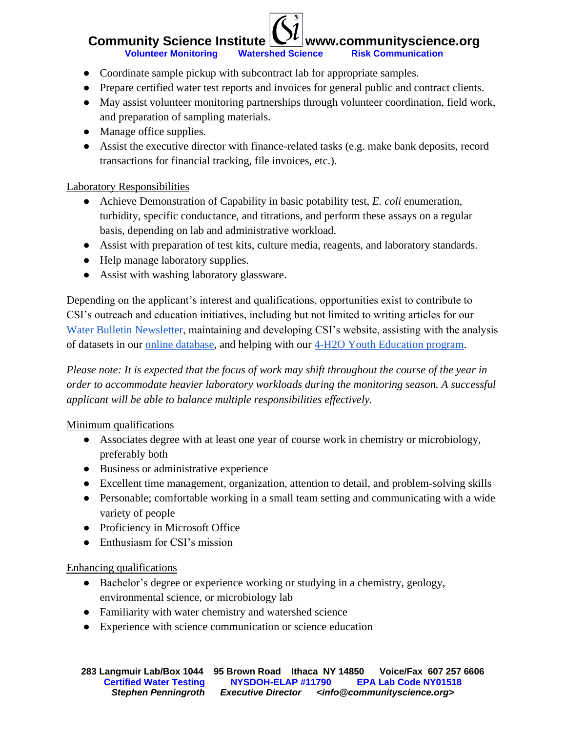## **Community Science Institute**  $\mathbb{C}^{\prime\prime}$  **www.communityscience.org Volunteer Monitoring Watershed Science Risk Communication**

- Coordinate sample pickup with subcontract lab for appropriate samples.
- Prepare certified water test reports and invoices for general public and contract clients.
- May assist volunteer monitoring partnerships through volunteer coordination, field work, and preparation of sampling materials.
- Manage office supplies.
- Assist the executive director with finance-related tasks (e.g. make bank deposits, record transactions for financial tracking, file invoices, etc.).

#### Laboratory Responsibilities

- Achieve Demonstration of Capability in basic potability test, *E. coli* enumeration, turbidity, specific conductance, and titrations, and perform these assays on a regular basis, depending on lab and administrative workload.
- Assist with preparation of test kits, culture media, reagents, and laboratory standards.
- Help manage laboratory supplies.
- Assist with washing laboratory glassware.

Depending on the applicant's interest and qualifications, opportunities exist to contribute to CSI's outreach and education initiatives, including but not limited to writing articles for our [Water Bulletin Newsletter,](http://www.communityscience.org/outreach-and-education/newsletters-annual-reports/) maintaining and developing CSI's website, assisting with the analysis of datasets in our [online database,](http://www.database.communityscience.org/) and helping with our [4-H2O Youth Education program.](http://www.communityscience.org/4h2o/)

*Please note: It is expected that the focus of work may shift throughout the course of the year in order to accommodate heavier laboratory workloads during the monitoring season. A successful applicant will be able to balance multiple responsibilities effectively.* 

#### Minimum qualifications

- Associates degree with at least one year of course work in chemistry or microbiology, preferably both
- Business or administrative experience
- Excellent time management, organization, attention to detail, and problem-solving skills
- Personable; comfortable working in a small team setting and communicating with a wide variety of people
- Proficiency in Microsoft Office
- Enthusiasm for CSI's mission

#### Enhancing qualifications

- Bachelor's degree or experience working or studying in a chemistry, geology, environmental science, or microbiology lab
- Familiarity with water chemistry and watershed science
- Experience with science communication or science education